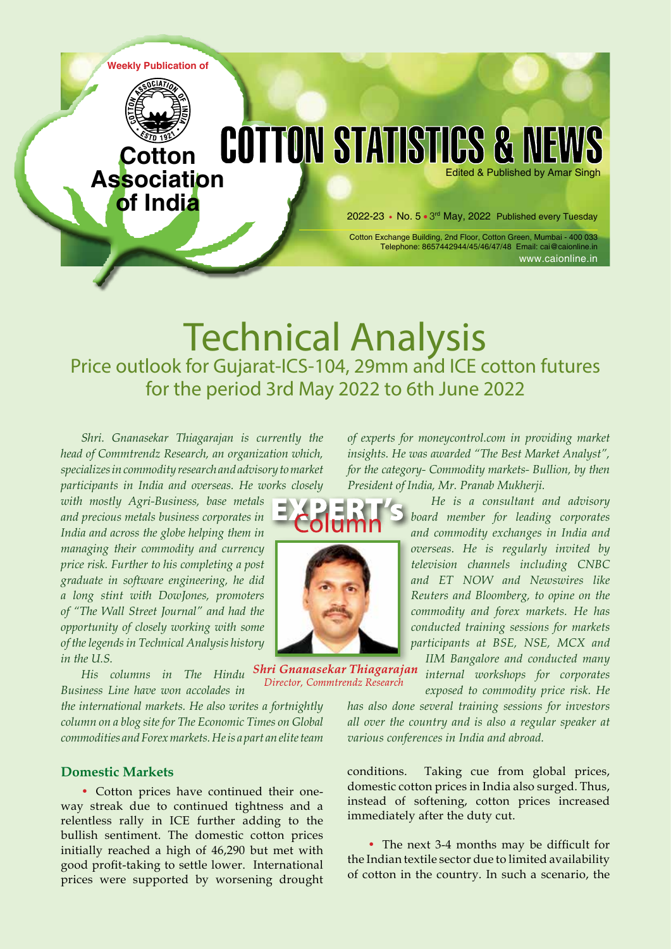

# **Technical Analysis**<br>Price outlook for Gujarat-ICS-104, 29mm and ICE cotton futures for the period 3rd May 2022 to 6th June 2022

*Shri. Gnanasekar Thiagarajan is currently the head of Commtrendz Research, an organization which, specializes in commodity research and advisory to market participants in India and overseas. He works closely* 

*with mostly Agri-Business, base metals and precious metals business corporates in India and across the globe helping them in managing their commodity and currency price risk. Further to his completing a post graduate in software engineering, he did a long stint with DowJones, promoters of "The Wall Street Journal" and had the opportunity of closely working with some of the legends in Technical Analysis history in the U.S.* 

*Business Line have won accolades in* 

*the international markets. He also writes a fortnightly column on a blog site for The Economic Times on Global commodities and Forex markets. He is a part an elite team* 

### **Domestic Markets**

• Cotton prices have continued their oneway streak due to continued tightness and a relentless rally in ICE further adding to the bullish sentiment. The domestic cotton prices initially reached a high of 46,290 but met with good profit-taking to settle lower. International prices were supported by worsening drought *of experts for moneycontrol.com in providing market insights. He was awarded "The Best Market Analyst", for the category- Commodity markets- Bullion, by then President of India, Mr. Pranab Mukherji.*

> *He is a consultant and advisory board member for leading corporates and commodity exchanges in India and overseas. He is regularly invited by television channels including CNBC and ET NOW and Newswires like Reuters and Bloomberg, to opine on the commodity and forex markets. He has conducted training sessions for markets participants at BSE, NSE, MCX and IIM Bangalore and conducted many*

> *internal workshops for corporates exposed to commodity price risk. He*

*has also done several training sessions for investors all over the country and is also a regular speaker at various conferences in India and abroad.*

conditions. Taking cue from global prices, domestic cotton prices in India also surged. Thus, instead of softening, cotton prices increased immediately after the duty cut.

• The next 3-4 months may be difficult for the Indian textile sector due to limited availability of cotton in the country. In such a scenario, the



*His columns in The Hindu*  Director, Commtrendz Research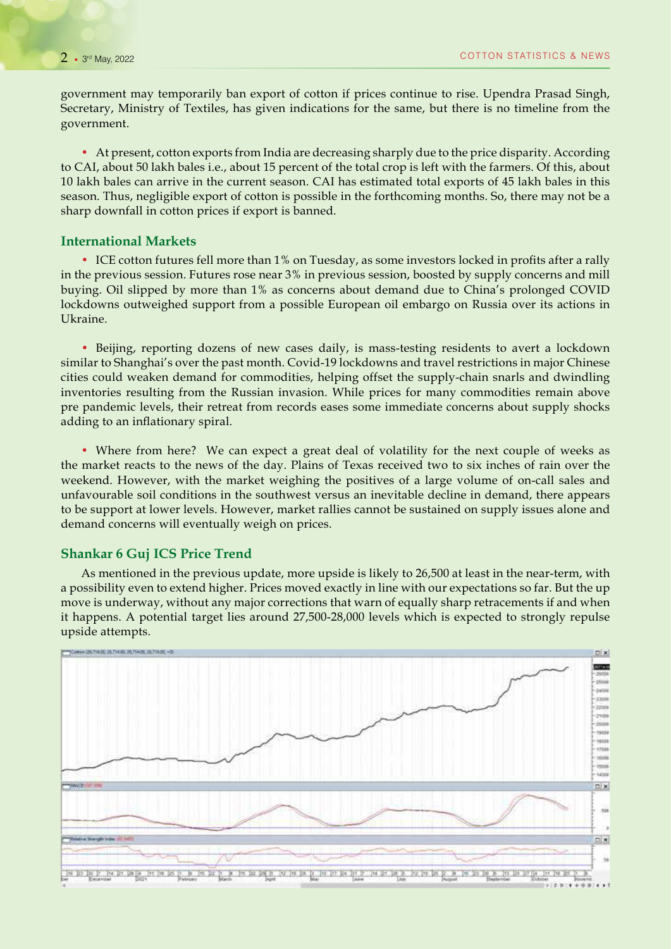government may temporarily ban export of cotton if prices continue to rise. Upendra Prasad Singh, Secretary, Ministry of Textiles, has given indications for the same, but there is no timeline from the government.

• At present, cotton exports from India are decreasing sharply due to the price disparity. According to CAI, about 50 lakh bales i.e., about 15 percent of the total crop is left with the farmers. Of this, about 10 lakh bales can arrive in the current season. CAI has estimated total exports of 45 lakh bales in this season. Thus, negligible export of cotton is possible in the forthcoming months. So, there may not be a sharp downfall in cotton prices if export is banned.

#### **International Markets**

• ICE cotton futures fell more than 1% on Tuesday, as some investors locked in profits after a rally in the previous session. Futures rose near 3% in previous session, boosted by supply concerns and mill buying. Oil slipped by more than 1% as concerns about demand due to China's prolonged COVID lockdowns outweighed support from a possible European oil embargo on Russia over its actions in Ukraine.

• Beijing, reporting dozens of new cases daily, is mass-testing residents to avert a lockdown similar to Shanghai's over the past month. Covid-19 lockdowns and travel restrictions in major Chinese cities could weaken demand for commodities, helping offset the supply-chain snarls and dwindling inventories resulting from the Russian invasion. While prices for many commodities remain above pre pandemic levels, their retreat from records eases some immediate concerns about supply shocks adding to an inflationary spiral.

• Where from here? We can expect a great deal of volatility for the next couple of weeks as the market reacts to the news of the day. Plains of Texas received two to six inches of rain over the weekend. However, with the market weighing the positives of a large volume of on-call sales and unfavourable soil conditions in the southwest versus an inevitable decline in demand, there appears to be support at lower levels. However, market rallies cannot be sustained on supply issues alone and demand concerns will eventually weigh on prices.

#### **Shankar 6 Guj ICS Price Trend**

As mentioned in the previous update, more upside is likely to 26,500 at least in the near-term, with a possibility even to extend higher. Prices moved exactly in line with our expectations so far. But the up move is underway, without any major corrections that warn of equally sharp retracements if and when it happens. A potential target lies around 27,500-28,000 levels which is expected to strongly repulse upside attempts.

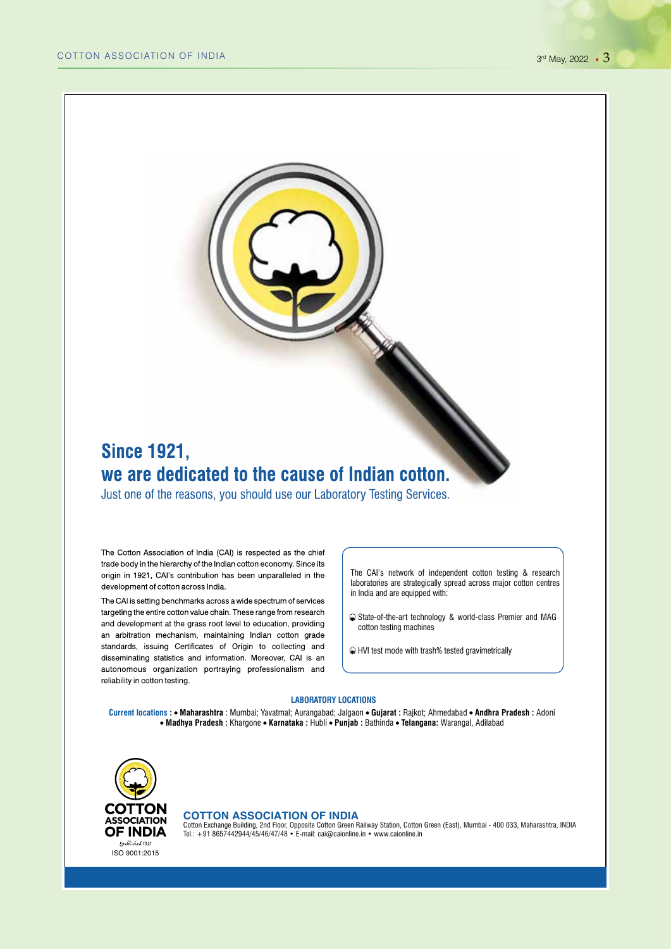### **Since 1921,** we are dedicated to the cause of Indian cotton.

Just one of the reasons, you should use our Laboratory Testing Services.

The Cotton Association of India (CAI) is respected as the chief trade body in the hierarchy of the Indian cotton economy. Since its origin in 1921, CAI's contribution has been unparalleled in the development of cotton across India.

The CAI is setting benchmarks across a wide spectrum of services targeting the entire cotton value chain. These range from research and development at the grass root level to education, providing an arbitration mechanism, maintaining Indian cotton grade standards, issuing Certificates of Origin to collecting and disseminating statistics and information. Moreover, CAI is an autonomous organization portraying professionalism and reliability in cotton testing.

The CAI's network of independent cotton testing & research laboratories are strategically spread across major cotton centres in India and are equipped with:

- State-of-the-art technology & world-class Premier and MAG cotton testing machines
- HVI test mode with trash% tested gravimetrically

#### **LABORATORY LOCATIONS**

**Current locations : Maharashtra** : Mumbai; Yavatmal; Aurangabad; Jalgaon **Gujarat :** Rajkot; Ahmedabad **Andhra Pradesh :** Adoni  **Madhya Pradesh :** Khargone **Karnataka :** Hubli **Punjab :** Bathinda **Telangana:** Warangal, Adilabad



#### **COTTON ASSOCIATION OF INDIA**

Cotton Exchange Building, 2nd Floor, Opposite Cotton Green Railway Station, Cotton Green (East), Mumbai - 400 033, Maharashtra, INDIA<br>Tel.: +91 8657442944/45/46/47/48 • E-mail: cai@caionline.in • www.caionline.in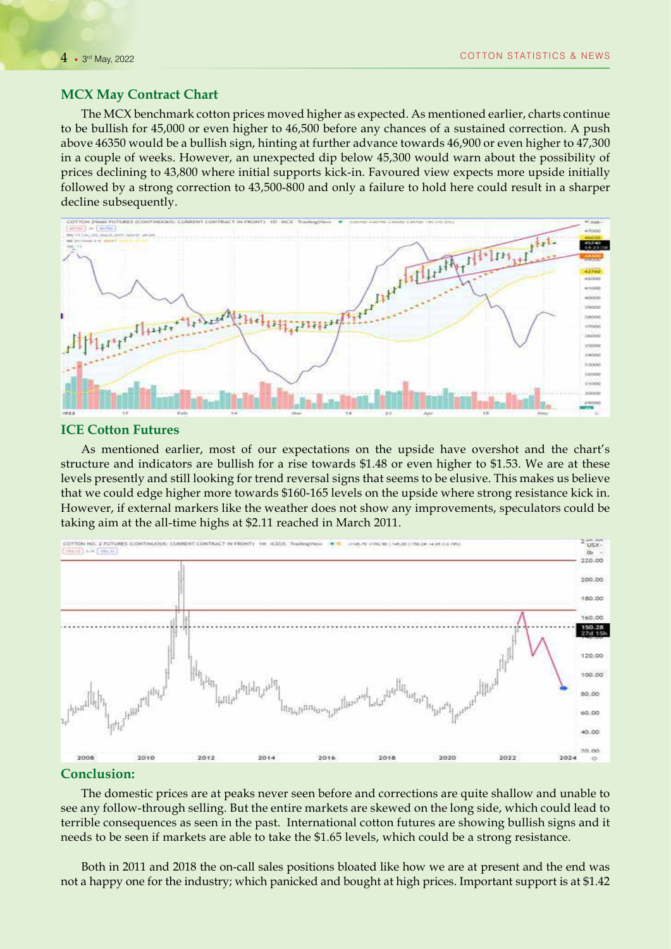#### **MCX May Contract Chart**

The MCX benchmark cotton prices moved higher as expected. As mentioned earlier, charts continue to be bullish for 45,000 or even higher to 46,500 before any chances of a sustained correction. A push above 46350 would be a bullish sign, hinting at further advance towards 46,900 or even higher to 47,300 in a couple of weeks. However, an unexpected dip below 45,300 would warn about the possibility of prices declining to 43,800 where initial supports kick-in. Favoured view expects more upside initially followed by a strong correction to 43,500-800 and only a failure to hold here could result in a sharper decline subsequently.



#### **ICE Cotton Futures**

As mentioned earlier, most of our expectations on the upside have overshot and the chart's structure and indicators are bullish for a rise towards \$1.48 or even higher to \$1.53. We are at these levels presently and still looking for trend reversal signs that seems to be elusive. This makes us believe that we could edge higher more towards \$160-165 levels on the upside where strong resistance kick in. However, if external markers like the weather does not show any improvements, speculators could be taking aim at the all-time highs at \$2.11 reached in March 2011.



#### **Conclusion:**

The domestic prices are at peaks never seen before and corrections are quite shallow and unable to see any follow-through selling. But the entire markets are skewed on the long side, which could lead to terrible consequences as seen in the past. International cotton futures are showing bullish signs and it needs to be seen if markets are able to take the \$1.65 levels, which could be a strong resistance.

Both in 2011 and 2018 the on-call sales positions bloated like how we are at present and the end was not a happy one for the industry; which panicked and bought at high prices. Important support is at \$1.42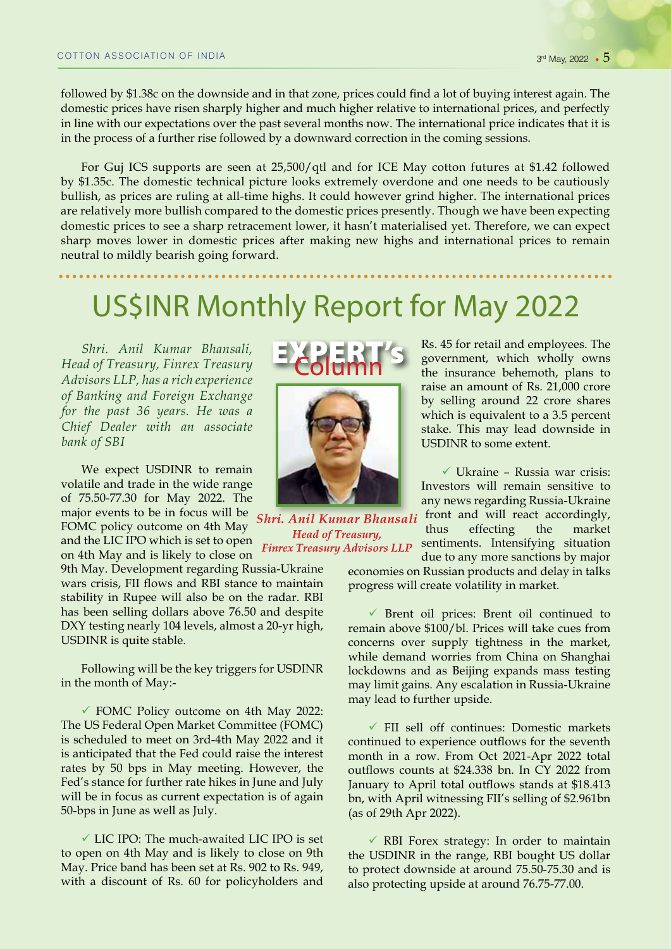followed by \$1.38c on the downside and in that zone, prices could find a lot of buying interest again. The domestic prices have risen sharply higher and much higher relative to international prices, and perfectly in line with our expectations over the past several months now. The international price indicates that it is in the process of a further rise followed by a downward correction in the coming sessions.

For Guj ICS supports are seen at 25,500/qtl and for ICE May cotton futures at \$1.42 followed by \$1.35c. The domestic technical picture looks extremely overdone and one needs to be cautiously bullish, as prices are ruling at all-time highs. It could however grind higher. The international prices are relatively more bullish compared to the domestic prices presently. Though we have been expecting domestic prices to see a sharp retracement lower, it hasn't materialised yet. Therefore, we can expect sharp moves lower in domestic prices after making new highs and international prices to remain neutral to mildly bearish going forward.

## US\$INR Monthly Report for May 2022

*Shri. Anil Kumar Bhansali, Head of Treasury, Finrex Treasury Advisors LLP, has a rich experience of Banking and Foreign Exchange for the past 36 years. He was a Chief Dealer with an associate bank of SBI*

We expect USDINR to remain volatile and trade in the wide range of 75.50-77.30 for May 2022. The major events to be in focus will be

FOMC policy outcome on 4th May and the LIC IPO which is set to open on 4th May and is likely to close on

9th May. Development regarding Russia-Ukraine wars crisis, FII flows and RBI stance to maintain stability in Rupee will also be on the radar. RBI has been selling dollars above 76.50 and despite DXY testing nearly 104 levels, almost a 20-yr high, USDINR is quite stable.

Following will be the key triggers for USDINR in the month of May:-

 $\checkmark$  FOMC Policy outcome on 4th May 2022: The US Federal Open Market Committee (FOMC) is scheduled to meet on 3rd-4th May 2022 and it is anticipated that the Fed could raise the interest rates by 50 bps in May meeting. However, the Fed's stance for further rate hikes in June and July will be in focus as current expectation is of again 50-bps in June as well as July.

 $\checkmark$  LIC IPO: The much-awaited LIC IPO is set to open on 4th May and is likely to close on 9th May. Price band has been set at Rs. 902 to Rs. 949, with a discount of Rs. 60 for policyholders and





Shri. Anil Kumar Bhansali **Head of Treasury, Finrex Treasury Advisors LLP** 

Rs. 45 for retail and employees. The government, which wholly owns the insurance behemoth, plans to raise an amount of Rs. 21,000 crore by selling around 22 crore shares which is equivalent to a 3.5 percent stake. This may lead downside in USDINR to some extent.

 $\checkmark$  Ukraine – Russia war crisis: Investors will remain sensitive to any news regarding Russia-Ukraine front and will react accordingly, thus effecting the market sentiments. Intensifying situation

due to any more sanctions by major economies on Russian products and delay in talks progress will create volatility in market.

 $\checkmark$  Brent oil prices: Brent oil continued to remain above \$100/bl. Prices will take cues from concerns over supply tightness in the market, while demand worries from China on Shanghai lockdowns and as Beijing expands mass testing may limit gains. Any escalation in Russia-Ukraine may lead to further upside.

 $\checkmark$  FII sell off continues: Domestic markets continued to experience outflows for the seventh month in a row. From Oct 2021-Apr 2022 total outflows counts at \$24.338 bn. In CY 2022 from January to April total outflows stands at \$18.413 bn, with April witnessing FII's selling of \$2.961bn (as of 29th Apr 2022).

 $\checkmark$  RBI Forex strategy: In order to maintain the USDINR in the range, RBI bought US dollar to protect downside at around 75.50-75.30 and is also protecting upside at around 76.75-77.00.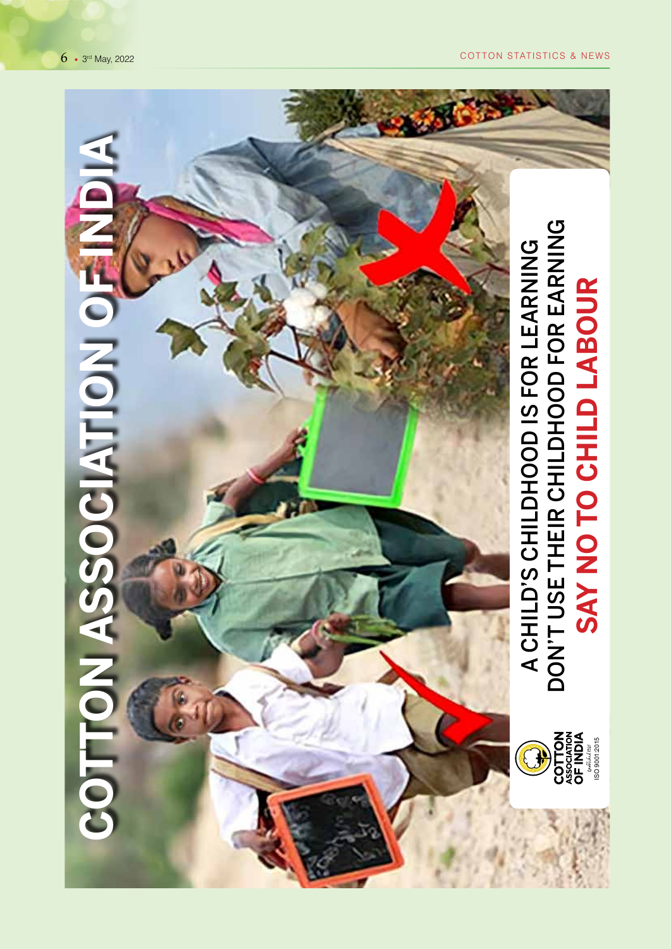